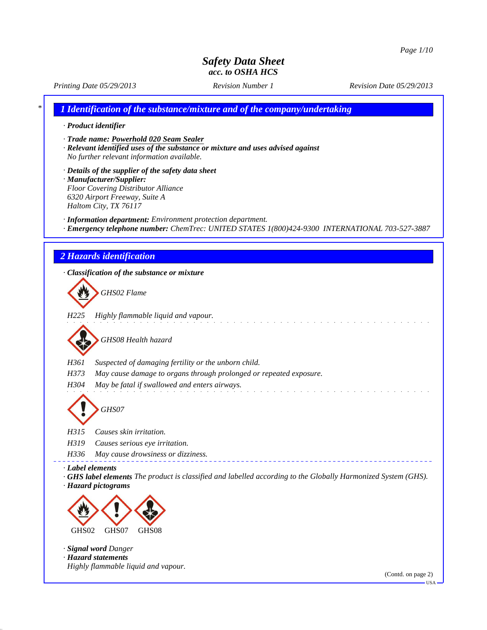*Printing Date 05/29/2013 Revision Number 1 Revision Date 05/29/2013*

*\* 1 Identification of the substance/mixture and of the company/undertaking*

#### *· Product identifier*

- *· Trade name: Powerhold 020 Seam Sealer*
- *· Relevant identified uses of the substance or mixture and uses advised against No further relevant information available.*
- *· Details of the supplier of the safety data sheet · Manufacturer/Supplier: Floor Covering Distributor Alliance 6320 Airport Freeway, Suite A Haltom City, TX 76117*
- *· Information department: Environment protection department.*
- *· Emergency telephone number: ChemTrec: UNITED STATES 1(800)424-9300 INTERNATIONAL 703-527-3887*

### *2 Hazards identification*

*· Classification of the substance or mixture GHS02 Flame H225 Highly flammable liquid and vapour. GHS08 Health hazard H361 Suspected of damaging fertility or the unborn child. H373 May cause damage to organs through prolonged or repeated exposure. H304 May be fatal if swallowed and enters airways. GHS07 H315 Causes skin irritation. H319 Causes serious eye irritation. H336 May cause drowsiness or dizziness. · Label elements · GHS label elements The product is classified and labelled according to the Globally Harmonized System (GHS). · Hazard pictograms* GHS02 GHS07 GHS08 *· Signal word Danger · Hazard statements Highly flammable liquid and vapour.*

(Contd. on page 2)

USA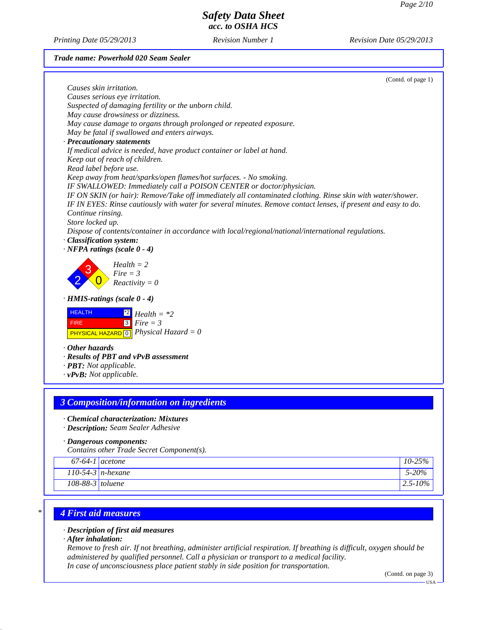*Printing Date 05/29/2013 Revision Number 1 Revision Date 05/29/2013*

#### *Trade name: Powerhold 020 Seam Sealer*

| Causes serious eye irritation.<br>Suspected of damaging fertility or the unborn child.<br>May cause drowsiness or dizziness.<br>May cause damage to organs through prolonged or repeated exposure.<br>May be fatal if swallowed and enters airways.<br>· Precautionary statements<br>If medical advice is needed, have product container or label at hand.<br>Keep out of reach of children.<br>Read label before use.<br>Keep away from heat/sparks/open flames/hot surfaces. - No smoking.<br>IF SWALLOWED: Immediately call a POISON CENTER or doctor/physician.<br>IF ON SKIN (or hair): Remove/Take off immediately all contaminated clothing. Rinse skin with water/shower.<br>IF IN EYES: Rinse cautiously with water for several minutes. Remove contact lenses, if present and easy to do.<br>Continue rinsing.<br>Store locked up.<br>Dispose of contents/container in accordance with local/regional/national/international regulations.<br>· Classification system:<br>$\cdot$ NFPA ratings (scale 0 - 4)<br>$Health = 2$<br>$Fire = 3$<br>$Reactivity = 0$<br>$\cdot$ HMIS-ratings (scale 0 - 4)<br><b>HEALTH</b><br>$Health = *2$<br>$\boxed{3}$<br>$Fire = 3$<br><b>FIRE</b><br><b>PHYSICAL HAZARD</b> $\boxed{0}$ <i>Physical Hazard</i> = 0<br>· Results of PBT and vPvB assessment | (Contd. of page 1)                       |
|------------------------------------------------------------------------------------------------------------------------------------------------------------------------------------------------------------------------------------------------------------------------------------------------------------------------------------------------------------------------------------------------------------------------------------------------------------------------------------------------------------------------------------------------------------------------------------------------------------------------------------------------------------------------------------------------------------------------------------------------------------------------------------------------------------------------------------------------------------------------------------------------------------------------------------------------------------------------------------------------------------------------------------------------------------------------------------------------------------------------------------------------------------------------------------------------------------------------------------------------------------------------------------------------------|------------------------------------------|
|                                                                                                                                                                                                                                                                                                                                                                                                                                                                                                                                                                                                                                                                                                                                                                                                                                                                                                                                                                                                                                                                                                                                                                                                                                                                                                      | Causes skin irritation.                  |
|                                                                                                                                                                                                                                                                                                                                                                                                                                                                                                                                                                                                                                                                                                                                                                                                                                                                                                                                                                                                                                                                                                                                                                                                                                                                                                      |                                          |
|                                                                                                                                                                                                                                                                                                                                                                                                                                                                                                                                                                                                                                                                                                                                                                                                                                                                                                                                                                                                                                                                                                                                                                                                                                                                                                      |                                          |
|                                                                                                                                                                                                                                                                                                                                                                                                                                                                                                                                                                                                                                                                                                                                                                                                                                                                                                                                                                                                                                                                                                                                                                                                                                                                                                      |                                          |
|                                                                                                                                                                                                                                                                                                                                                                                                                                                                                                                                                                                                                                                                                                                                                                                                                                                                                                                                                                                                                                                                                                                                                                                                                                                                                                      |                                          |
|                                                                                                                                                                                                                                                                                                                                                                                                                                                                                                                                                                                                                                                                                                                                                                                                                                                                                                                                                                                                                                                                                                                                                                                                                                                                                                      |                                          |
|                                                                                                                                                                                                                                                                                                                                                                                                                                                                                                                                                                                                                                                                                                                                                                                                                                                                                                                                                                                                                                                                                                                                                                                                                                                                                                      |                                          |
|                                                                                                                                                                                                                                                                                                                                                                                                                                                                                                                                                                                                                                                                                                                                                                                                                                                                                                                                                                                                                                                                                                                                                                                                                                                                                                      |                                          |
|                                                                                                                                                                                                                                                                                                                                                                                                                                                                                                                                                                                                                                                                                                                                                                                                                                                                                                                                                                                                                                                                                                                                                                                                                                                                                                      |                                          |
|                                                                                                                                                                                                                                                                                                                                                                                                                                                                                                                                                                                                                                                                                                                                                                                                                                                                                                                                                                                                                                                                                                                                                                                                                                                                                                      |                                          |
|                                                                                                                                                                                                                                                                                                                                                                                                                                                                                                                                                                                                                                                                                                                                                                                                                                                                                                                                                                                                                                                                                                                                                                                                                                                                                                      |                                          |
|                                                                                                                                                                                                                                                                                                                                                                                                                                                                                                                                                                                                                                                                                                                                                                                                                                                                                                                                                                                                                                                                                                                                                                                                                                                                                                      |                                          |
|                                                                                                                                                                                                                                                                                                                                                                                                                                                                                                                                                                                                                                                                                                                                                                                                                                                                                                                                                                                                                                                                                                                                                                                                                                                                                                      |                                          |
|                                                                                                                                                                                                                                                                                                                                                                                                                                                                                                                                                                                                                                                                                                                                                                                                                                                                                                                                                                                                                                                                                                                                                                                                                                                                                                      |                                          |
|                                                                                                                                                                                                                                                                                                                                                                                                                                                                                                                                                                                                                                                                                                                                                                                                                                                                                                                                                                                                                                                                                                                                                                                                                                                                                                      |                                          |
|                                                                                                                                                                                                                                                                                                                                                                                                                                                                                                                                                                                                                                                                                                                                                                                                                                                                                                                                                                                                                                                                                                                                                                                                                                                                                                      |                                          |
|                                                                                                                                                                                                                                                                                                                                                                                                                                                                                                                                                                                                                                                                                                                                                                                                                                                                                                                                                                                                                                                                                                                                                                                                                                                                                                      |                                          |
|                                                                                                                                                                                                                                                                                                                                                                                                                                                                                                                                                                                                                                                                                                                                                                                                                                                                                                                                                                                                                                                                                                                                                                                                                                                                                                      |                                          |
|                                                                                                                                                                                                                                                                                                                                                                                                                                                                                                                                                                                                                                                                                                                                                                                                                                                                                                                                                                                                                                                                                                                                                                                                                                                                                                      |                                          |
|                                                                                                                                                                                                                                                                                                                                                                                                                                                                                                                                                                                                                                                                                                                                                                                                                                                                                                                                                                                                                                                                                                                                                                                                                                                                                                      |                                          |
|                                                                                                                                                                                                                                                                                                                                                                                                                                                                                                                                                                                                                                                                                                                                                                                                                                                                                                                                                                                                                                                                                                                                                                                                                                                                                                      |                                          |
|                                                                                                                                                                                                                                                                                                                                                                                                                                                                                                                                                                                                                                                                                                                                                                                                                                                                                                                                                                                                                                                                                                                                                                                                                                                                                                      |                                          |
|                                                                                                                                                                                                                                                                                                                                                                                                                                                                                                                                                                                                                                                                                                                                                                                                                                                                                                                                                                                                                                                                                                                                                                                                                                                                                                      |                                          |
|                                                                                                                                                                                                                                                                                                                                                                                                                                                                                                                                                                                                                                                                                                                                                                                                                                                                                                                                                                                                                                                                                                                                                                                                                                                                                                      |                                          |
|                                                                                                                                                                                                                                                                                                                                                                                                                                                                                                                                                                                                                                                                                                                                                                                                                                                                                                                                                                                                                                                                                                                                                                                                                                                                                                      |                                          |
|                                                                                                                                                                                                                                                                                                                                                                                                                                                                                                                                                                                                                                                                                                                                                                                                                                                                                                                                                                                                                                                                                                                                                                                                                                                                                                      |                                          |
|                                                                                                                                                                                                                                                                                                                                                                                                                                                                                                                                                                                                                                                                                                                                                                                                                                                                                                                                                                                                                                                                                                                                                                                                                                                                                                      |                                          |
|                                                                                                                                                                                                                                                                                                                                                                                                                                                                                                                                                                                                                                                                                                                                                                                                                                                                                                                                                                                                                                                                                                                                                                                                                                                                                                      |                                          |
|                                                                                                                                                                                                                                                                                                                                                                                                                                                                                                                                                                                                                                                                                                                                                                                                                                                                                                                                                                                                                                                                                                                                                                                                                                                                                                      | $\cdot$ Other hazards                    |
|                                                                                                                                                                                                                                                                                                                                                                                                                                                                                                                                                                                                                                                                                                                                                                                                                                                                                                                                                                                                                                                                                                                                                                                                                                                                                                      |                                          |
|                                                                                                                                                                                                                                                                                                                                                                                                                                                                                                                                                                                                                                                                                                                                                                                                                                                                                                                                                                                                                                                                                                                                                                                                                                                                                                      | · <b>PBT</b> : Not applicable.           |
|                                                                                                                                                                                                                                                                                                                                                                                                                                                                                                                                                                                                                                                                                                                                                                                                                                                                                                                                                                                                                                                                                                                                                                                                                                                                                                      | $\cdot$ vPvB: Not applicable.            |
|                                                                                                                                                                                                                                                                                                                                                                                                                                                                                                                                                                                                                                                                                                                                                                                                                                                                                                                                                                                                                                                                                                                                                                                                                                                                                                      |                                          |
|                                                                                                                                                                                                                                                                                                                                                                                                                                                                                                                                                                                                                                                                                                                                                                                                                                                                                                                                                                                                                                                                                                                                                                                                                                                                                                      |                                          |
|                                                                                                                                                                                                                                                                                                                                                                                                                                                                                                                                                                                                                                                                                                                                                                                                                                                                                                                                                                                                                                                                                                                                                                                                                                                                                                      | 3 Composition/information on ingredients |

- *· Chemical characterization: Mixtures*
- *· Description: Seam Sealer Adhesive*
- *· Dangerous components:*

*Contains other Trade Secret Component(s).*

| $67-64-1$          | <i>cetone</i>               | $-25%$<br>10-25 |
|--------------------|-----------------------------|-----------------|
|                    | 110-54-3   <i>n</i> -hexane | 5-20%           |
| $108-88-3$ toluene |                             | $2.5 - 10\%$    |

## *\* 4 First aid measures*

*· Description of first aid measures*

*· After inhalation:*

*Remove to fresh air. If not breathing, administer artificial respiration. If breathing is difficult, oxygen should be administered by qualified personnel. Call a physician or transport to a medical facility. In case of unconsciousness place patient stably in side position for transportation.*

(Contd. on page 3)

USA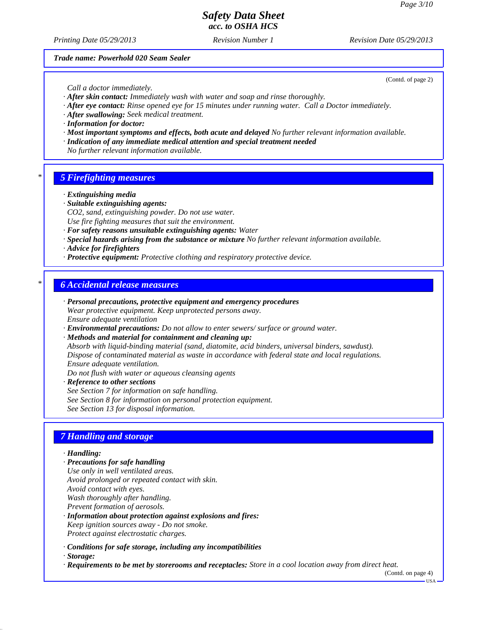*Printing Date 05/29/2013 Revision Number 1 Revision Date 05/29/2013*

*Trade name: Powerhold 020 Seam Sealer*

(Contd. of page 2)

*Call a doctor immediately.*

- *· After skin contact: Immediately wash with water and soap and rinse thoroughly.*
- *· After eye contact: Rinse opened eye for 15 minutes under running water. Call a Doctor immediately.*
- *· After swallowing: Seek medical treatment.*
- *· Information for doctor:*
- *· Most important symptoms and effects, both acute and delayed No further relevant information available.*
- *· Indication of any immediate medical attention and special treatment needed*
- *No further relevant information available.*

### *\* 5 Firefighting measures*

- *· Extinguishing media*
- *· Suitable extinguishing agents:*
- *CO2, sand, extinguishing powder. Do not use water.*
- *Use fire fighting measures that suit the environment.*
- *· For safety reasons unsuitable extinguishing agents: Water*
- *· Special hazards arising from the substance or mixture No further relevant information available.*
- *· Advice for firefighters*
- *· Protective equipment: Protective clothing and respiratory protective device.*

### *\* 6 Accidental release measures*

- *· Personal precautions, protective equipment and emergency procedures Wear protective equipment. Keep unprotected persons away. Ensure adequate ventilation*
- *· Environmental precautions: Do not allow to enter sewers/ surface or ground water.*
- *· Methods and material for containment and cleaning up:*

*Absorb with liquid-binding material (sand, diatomite, acid binders, universal binders, sawdust). Dispose of contaminated material as waste in accordance with federal state and local regulations. Ensure adequate ventilation.*

*Do not flush with water or aqueous cleansing agents*

- *· Reference to other sections*
- *See Section 7 for information on safe handling.*
- *See Section 8 for information on personal protection equipment.*

*See Section 13 for disposal information.*

## *7 Handling and storage*

#### *· Handling:*

- *· Precautions for safe handling*
- *Use only in well ventilated areas. Avoid prolonged or repeated contact with skin. Avoid contact with eyes. Wash thoroughly after handling. Prevent formation of aerosols.*
- *· Information about protection against explosions and fires: Keep ignition sources away - Do not smoke. Protect against electrostatic charges.*
- *· Conditions for safe storage, including any incompatibilities*
- *· Storage:*
- *· Requirements to be met by storerooms and receptacles: Store in a cool location away from direct heat.*

(Contd. on page 4)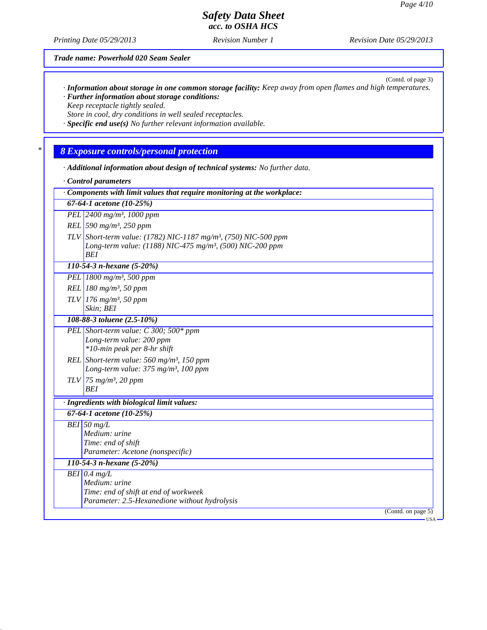(Contd. of page 3)

## *Safety Data Sheet acc. to OSHA HCS*

*Printing Date 05/29/2013 Revision Number 1 Revision Date 05/29/2013*

*Trade name: Powerhold 020 Seam Sealer*

*· Information about storage in one common storage facility: Keep away from open flames and high temperatures. · Further information about storage conditions:*

*Keep receptacle tightly sealed.*

*Store in cool, dry conditions in well sealed receptacles.*

*· Specific end use(s) No further relevant information available.*

## *\* 8 Exposure controls/personal protection*

*· Additional information about design of technical systems: No further data.*

*· Control parameters*

*· Components with limit values that require monitoring at the workplace: 67-64-1 acetone (10-25%) PEL 2400 mg/m³, 1000 ppm REL 590 mg/m³, 250 ppm TLV Short-term value: (1782) NIC-1187 mg/m³, (750) NIC-500 ppm Long-term value: (1188) NIC-475 mg/m³, (500) NIC-200 ppm BEI 110-54-3 n-hexane (5-20%) PEL 1800 mg/m³, 500 ppm REL 180 mg/m³, 50 ppm TLV 176 mg/m³, 50 ppm Skin; BEI 108-88-3 toluene (2.5-10%) PEL Short-term value: C 300; 500\* ppm Long-term value: 200 ppm \*10-min peak per 8-hr shift REL Short-term value: 560 mg/m³, 150 ppm Long-term value: 375 mg/m³, 100 ppm TLV 75 mg/m³, 20 ppm BEI · Ingredients with biological limit values: 67-64-1 acetone (10-25%) BEI 50 mg/L Medium: urine Time: end of shift Parameter: Acetone (nonspecific) 110-54-3 n-hexane (5-20%) BEI 0.4 mg/L Medium: urine Time: end of shift at end of workweek Parameter: 2.5-Hexanedione without hydrolysis* (Contd. on page 5) USA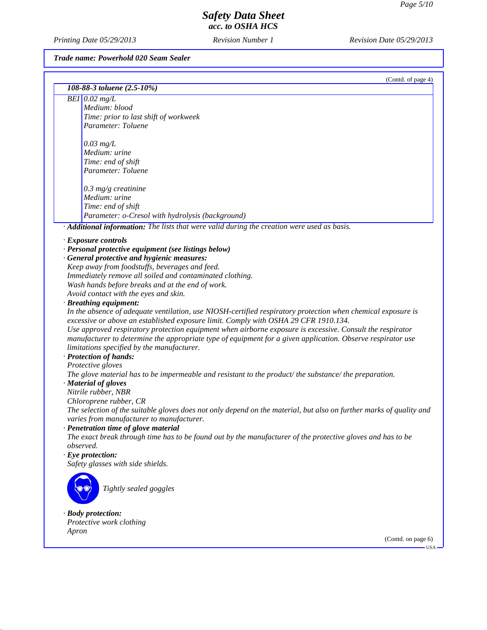*Printing Date 05/29/2013 Revision Number 1 Revision Date 05/29/2013*

*Trade name: Powerhold 020 Seam Sealer*

| (Contd. of page 4)                                                                                                  |
|---------------------------------------------------------------------------------------------------------------------|
| 108-88-3 toluene (2.5-10%)                                                                                          |
| $BEI$ 0.02 mg/L                                                                                                     |
| Medium: blood                                                                                                       |
| Time: prior to last shift of workweek                                                                               |
| Parameter: Toluene                                                                                                  |
|                                                                                                                     |
| $0.03$ mg/L                                                                                                         |
| Medium: urine                                                                                                       |
| Time: end of shift                                                                                                  |
| Parameter: Toluene                                                                                                  |
|                                                                                                                     |
| $0.3$ mg/g creatinine                                                                                               |
| Medium: urine                                                                                                       |
| Time: end of shift                                                                                                  |
| Parameter: o-Cresol with hydrolysis (background)                                                                    |
| · Additional information: The lists that were valid during the creation were used as basis.                         |
| · Exposure controls                                                                                                 |
| · Personal protective equipment (see listings below)                                                                |
| · General protective and hygienic measures:                                                                         |
| Keep away from foodstuffs, beverages and feed.                                                                      |
| Immediately remove all soiled and contaminated clothing.                                                            |
| Wash hands before breaks and at the end of work.                                                                    |
| Avoid contact with the eyes and skin.                                                                               |
| · Breathing equipment:                                                                                              |
| In the absence of adequate ventilation, use NIOSH-certified respiratory protection when chemical exposure is        |
| excessive or above an established exposure limit. Comply with OSHA 29 CFR 1910.134.                                 |
| Use approved respiratory protection equipment when airborne exposure is excessive. Consult the respirator           |
| manufacturer to determine the appropriate type of equipment for a given application. Observe respirator use         |
| limitations specified by the manufacturer.                                                                          |
| · Protection of hands:                                                                                              |
| Protective gloves                                                                                                   |
| The glove material has to be impermeable and resistant to the product/the substance/the preparation.                |
| · Material of gloves                                                                                                |
| Nitrile rubber, NBR                                                                                                 |
| Chloroprene rubber, CR                                                                                              |
| The selection of the suitable gloves does not only depend on the material, but also on further marks of quality and |
| varies from manufacturer to manufacturer.                                                                           |
| Penetration time of glove material                                                                                  |
| The exact break through time has to be found out by the manufacturer of the protective gloves and has to be         |
| observed.<br>$\cdot$ Eye protection:                                                                                |
| Safety glasses with side shields.                                                                                   |
|                                                                                                                     |
|                                                                                                                     |
| Tightly sealed goggles                                                                                              |
|                                                                                                                     |
|                                                                                                                     |
| $\cdot$ Body protection:                                                                                            |
| Protective work clothing                                                                                            |
| Apron<br>(Contd. on page 6)                                                                                         |
| - USA                                                                                                               |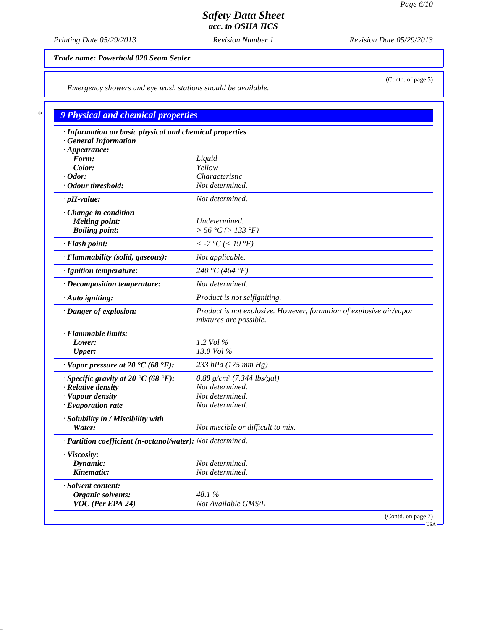*Printing Date 05/29/2013 Revision Number 1 Revision Date 05/29/2013*

*Trade name: Powerhold 020 Seam Sealer*

*Emergency showers and eye wash stations should be available.*

| · Information on basic physical and chemical properties    |                                                                                               |
|------------------------------------------------------------|-----------------------------------------------------------------------------------------------|
| <b>General Information</b><br>$\cdot$ Appearance:          |                                                                                               |
| Form:                                                      | Liquid                                                                                        |
| Color:                                                     | Yellow                                                                                        |
| $\cdot$ Odor:                                              | Characteristic                                                                                |
| · Odour threshold:                                         | Not determined.                                                                               |
| $\cdot$ pH-value:                                          | Not determined.                                                                               |
| Change in condition                                        |                                                                                               |
| <b>Melting point:</b>                                      | Undetermined.                                                                                 |
| <b>Boiling point:</b>                                      | > 56 °C (> 133 °F)                                                                            |
| · Flash point:                                             | $<$ -7 °C ( $<$ 19 °F)                                                                        |
| · Flammability (solid, gaseous):                           | Not applicable.                                                                               |
| · Ignition temperature:                                    | 240 °C (464 °F)                                                                               |
| · Decomposition temperature:                               | Not determined.                                                                               |
| · Auto igniting:                                           | Product is not selfigniting.                                                                  |
| · Danger of explosion:                                     | Product is not explosive. However, formation of explosive air/vapor<br>mixtures are possible. |
| · Flammable limits:                                        |                                                                                               |
| Lower:                                                     | 1.2 Vol $\%$                                                                                  |
| <b>Upper:</b>                                              | 13.0 Vol %                                                                                    |
| $\cdot$ Vapor pressure at 20 $\cdot$ C (68 $\cdot$ F):     | 233 hPa (175 mm Hg)                                                                           |
| $\cdot$ Specific gravity at 20 °C (68 °F):                 | $0.88$ g/cm <sup>3</sup> (7.344 lbs/gal)                                                      |
| · Relative density                                         | Not determined.                                                                               |
| · Vapour density                                           | Not determined.                                                                               |
| $\cdot$ Evaporation rate                                   | Not determined.                                                                               |
| · Solubility in / Miscibility with                         |                                                                                               |
| Water:                                                     | Not miscible or difficult to mix.                                                             |
| · Partition coefficient (n-octanol/water): Not determined. |                                                                                               |
| · Viscosity:                                               |                                                                                               |
| Dynamic:                                                   | Not determined.                                                                               |
| Kinematic:                                                 | Not determined.                                                                               |
| · Solvent content:                                         |                                                                                               |
| Organic solvents:                                          | 48.1%                                                                                         |
| $VOC$ (Per EPA 24)                                         | Not Available GMS/L                                                                           |

(Contd. of page 5)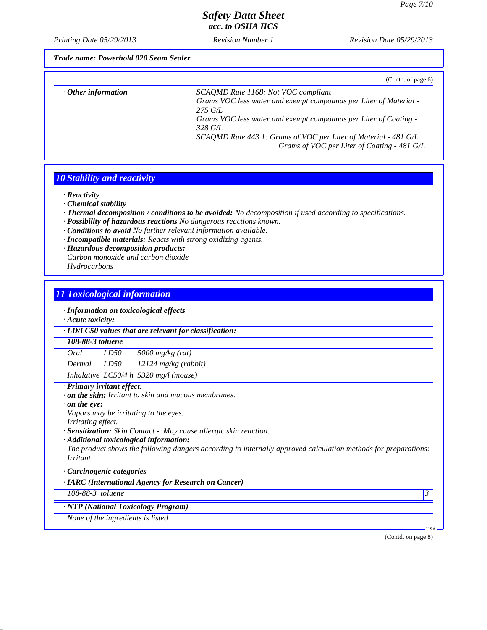*Printing Date 05/29/2013 Revision Number 1 Revision Date 05/29/2013*

*Trade name: Powerhold 020 Seam Sealer*

|                           | (Contd. of page 6)                                                |
|---------------------------|-------------------------------------------------------------------|
| $\cdot$ Other information | SCAQMD Rule 1168: Not VOC compliant                               |
|                           | Grams VOC less water and exempt compounds per Liter of Material - |
|                           | $275 \, GL$                                                       |
|                           | Grams VOC less water and exempt compounds per Liter of Coating -  |
|                           | $328 \text{ } GL$                                                 |
|                           | SCAQMD Rule 443.1: Grams of VOC per Liter of Material - 481 G/L   |
|                           | Grams of VOC per Liter of Coating - 481 G/L                       |

## *10 Stability and reactivity*

*· Reactivity*

- *· Chemical stability*
- *· Thermal decomposition / conditions to be avoided: No decomposition if used according to specifications.*
- *· Possibility of hazardous reactions No dangerous reactions known.*
- *· Conditions to avoid No further relevant information available.*
- *· Incompatible materials: Reacts with strong oxidizing agents.*
- *· Hazardous decomposition products: Carbon monoxide and carbon dioxide Hydrocarbons*

### *11 Toxicological information*

*· Information on toxicological effects*

*· Acute toxicity:*

#### *· LD/LC50 values that are relevant for classification:*

#### *108-88-3 toluene*

*Oral LD50 5000 mg/kg (rat) Dermal LD50 12124 mg/kg (rabbit) Inhalative LC50/4 h 5320 mg/l (mouse)*

### *· Primary irritant effect:*

- *· on the skin: Irritant to skin and mucous membranes.*
- *· on the eye:*

*Vapors may be irritating to the eyes.*

- *Irritating effect.*
- *· Sensitization: Skin Contact May cause allergic skin reaction.*
- *· Additional toxicological information:*

*The product shows the following dangers according to internally approved calculation methods for preparations: Irritant*

### *· Carcinogenic categories*

*· IARC (International Agency for Research on Cancer)*

*108-88-3 toluene 3* 

### *· NTP (National Toxicology Program)*

*None of the ingredients is listed.*

(Contd. on page 8)

USA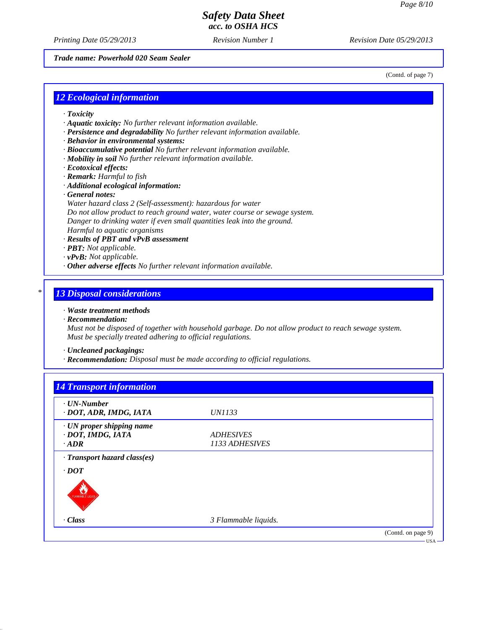*Printing Date 05/29/2013 Revision Number 1 Revision Date 05/29/2013*

*Trade name: Powerhold 020 Seam Sealer*

(Contd. of page 7)

### *12 Ecological information*

- *· Toxicity*
- *· Aquatic toxicity: No further relevant information available.*
- *· Persistence and degradability No further relevant information available.*
- *· Behavior in environmental systems:*
- *· Bioaccumulative potential No further relevant information available.*
- *· Mobility in soil No further relevant information available.*
- *· Ecotoxical effects:*
- *· Remark: Harmful to fish*
- *· Additional ecological information:*
- *· General notes:*
- *Water hazard class 2 (Self-assessment): hazardous for water Do not allow product to reach ground water, water course or sewage system.*
- *Danger to drinking water if even small quantities leak into the ground.*
- *Harmful to aquatic organisms*
- *· Results of PBT and vPvB assessment*
- *· PBT: Not applicable.*
- *· vPvB: Not applicable.*
- *· Other adverse effects No further relevant information available.*

### *\* 13 Disposal considerations*

### *· Waste treatment methods*

*· Recommendation:*

*Must not be disposed of together with household garbage. Do not allow product to reach sewage system. Must be specially treated adhering to official regulations.*

- *· Uncleaned packagings:*
- *· Recommendation: Disposal must be made according to official regulations.*

| 1133 ADHESIVES |
|----------------|
|                |
|                |
|                |
|                |
|                |
|                |
|                |
|                |
|                |
|                |
|                |
|                |
|                |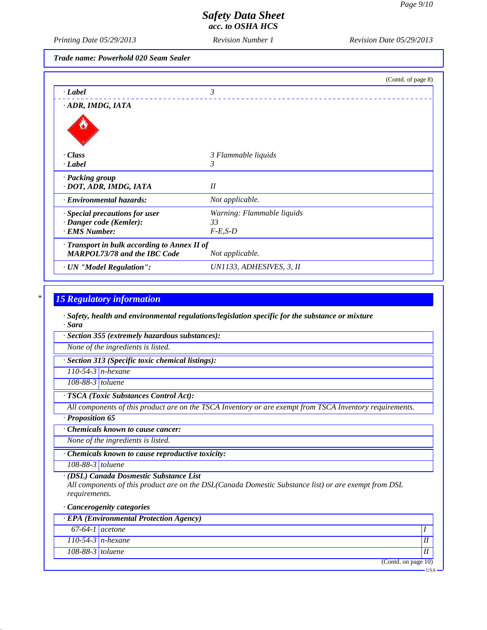*Printing Date 05/29/2013 Revision Number 1 Revision Date 05/29/2013*

*Trade name: Powerhold 020 Seam Sealer*

|                                              |                            | (Contd. of page 8) |
|----------------------------------------------|----------------------------|--------------------|
| · Label                                      | 3                          |                    |
| · ADR, IMDG, IATA                            |                            |                    |
|                                              |                            |                    |
| · Class                                      | 3 Flammable liquids        |                    |
| · Label                                      | 3                          |                    |
| · Packing group<br>· DOT, ADR, IMDG, IATA    | II                         |                    |
| · Environmental hazards:                     | Not applicable.            |                    |
| $\cdot$ Special precautions for user         | Warning: Flammable liquids |                    |
| · Danger code (Kemler):                      | 33                         |                    |
| · EMS Number:                                | $F-E,S-D$                  |                    |
| · Transport in bulk according to Annex II of |                            |                    |
| <b>MARPOL73/78 and the IBC Code</b>          | Not applicable.            |                    |
| · UN "Model Regulation":                     | UN1133, ADHESIVES, 3, II   |                    |

## *\* 15 Regulatory information*

*· Safety, health and environmental regulations/legislation specific for the substance or mixture · Sara*

*· Section 355 (extremely hazardous substances):*

*None of the ingredients is listed.*

*· Section 313 (Specific toxic chemical listings):*

*110-54-3 n-hexane*

*108-88-3 toluene*

### *· TSCA (Toxic Substances Control Act):*

*All components of this product are on the TSCA Inventory or are exempt from TSCA Inventory requirements.*

*· Proposition 65*

*· Chemicals known to cause cancer:*

*None of the ingredients is listed.*

*· Chemicals known to cause reproductive toxicity:*

*108-88-3 toluene*

*· (DSL) Canada Dosmestic Substance List*

*All components of this product are on the DSL(Canada Domestic Substance list) or are exempt from DSL requirements.*

#### *· Cancerogenity categories*

| $\cdot$ EPA (Environmental Protection Agency) |                     |  |  |  |
|-----------------------------------------------|---------------------|--|--|--|
| $67-64-1$ acetone                             |                     |  |  |  |
|                                               | $110-54-3$ n-hexane |  |  |  |
| $108-88-3$ toluene                            |                     |  |  |  |
|                                               | (Contd. on page 10) |  |  |  |